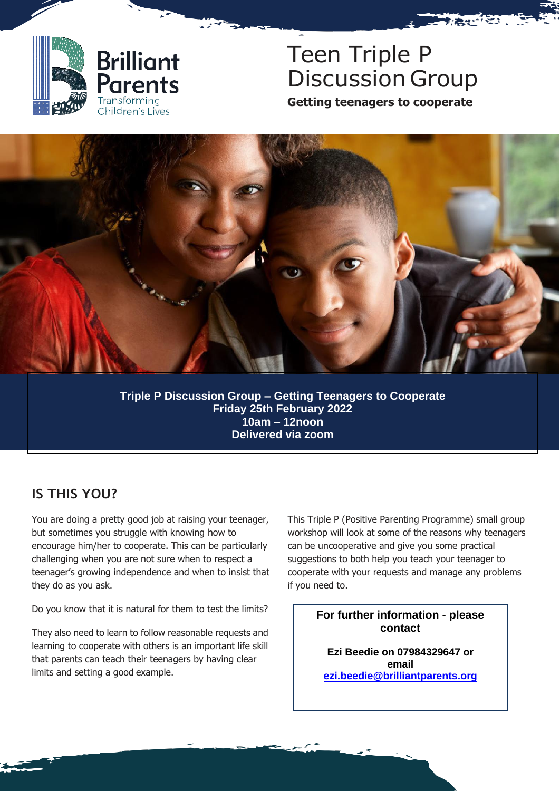## **Brilliant** Parents ransforming Children's Lives

## Teen Triple P Discussion Group

**Getting teenagers to cooperate**



**Triple P Discussion Group – Getting Teenagers to Cooperate Friday 25th February 2022 10am – 12noon Delivered via zoom**

## **IS THIS YOU?**

You are doing a pretty good job at raising your teenager, but sometimes you struggle with knowing how to encourage him/her to cooperate. This can be particularly challenging when you are not sure when to respect a teenager's growing independence and when to insist that they do as you ask.

Do you know that it is natural for them to test the limits?

They also need to learn to follow reasonable requests and learning to cooperate with others is an important life skill that parents can teach their teenagers by having clear limits and setting a good example.

This Triple P (Positive Parenting Programme) small group workshop will look at some of the reasons why teenagers can be uncooperative and give you some practical suggestions to both help you teach your teenager to cooperate with your requests and manage any problems if you need to.

> **For further information - please contact**

**Ezi Beedie on 07984329647 or email [ezi.beedie@brilliantparents.org](mailto:ezi.beedie@brilliantparents.org)**